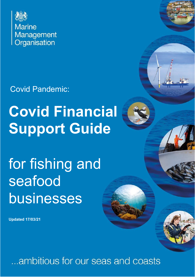

Covid Pandemic:

# **Covid Financial Support Guide**

# for fishing and seafood businesses

**Updated 17/03/21**

...ambitious for our seas and coasts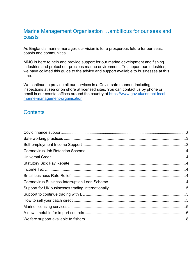### Marine Management Organisation …ambitious for our seas and coasts

As England's marine manager, our vision is for a prosperous future for our seas, coasts and communities.

MMO is here to help and provide support for our marine development and fishing industries and protect our precious marine environment. To support our industries, we have collated this guide to the advice and support available to businesses at this time.

We continue to provide all our services in a Covid-safe manner, including inspections at sea or on shore at licensed sites. You can contact us by phone or email in our coastal offices around the country at [https://www.gov.uk/contact-local](https://www.gov.uk/contact-local-marine-management-organisation)[marine-management-organisation.](https://www.gov.uk/contact-local-marine-management-organisation)

# **Contents**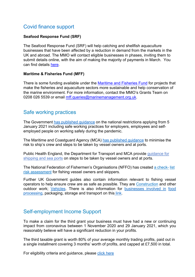# Covid finance support

#### **Seafood Response Fund (SRF)**

The Seafood Response Fund (SRF) will help catching and shellfish aquaculture businesses that have been affected by a reduction in demand from the markets in the UK and abroad. The MMO will contact eligible businesses in phases, inviting them to submit details online, with the aim of making the majority of payments in March. You can find details [here.](https://www.gov.uk/guidance/seafood-response-fund)

#### **Maritime & Fisheries Fund (MFF)**

There is some funding available under the [Maritime and Fisheries Fund](https://www.gov.uk/guidance/maritime-and-fisheries-fund-mff-apply-for-funding) for projects that make the fisheries and aquaculture sectors more sustainable and help conservation of the marine environment. For more information, contact the MMO's Grants Team on 0208 026 5539 or email [mff.queries@marinemanagement.org.uk.](mailto:mff.queries@marinemanagement.org.uk)

#### Safe working practices

The Government has [published](https://www.gov.uk/coronavirus) guidance on the national restrictions applying from 5 January 2021 including safe working practices for employers, employees and selfemployed people on working safely during the pandemic.

The Maritime and Coastguard Agency (MCA) has [published](https://www.gov.uk/government/publications/min-616-amendment-4-covid-19-minimising-risk-to-ships-crew-and-other-maritime-sector-workers) guidance to minimise the risk to ship's crew and steps to be taken by vessel owners and at ports.

[Public Health England, the Department for Transport and MCA provide guidance for](https://www.gov.uk/government/publications/covid-19-shipping-and-sea-ports-guidance) [shipping](https://www.gov.uk/government/publications/covid-19-shipping-and-sea-ports-guidance) and sea ports on steps to be taken by vessel owners and at ports.

The National Federation of Fishermen's [Organisations](https://nffo.org.uk/news/covid19-social-distancing-and-the-fishing-industry.html) (NFFO) has created a check- list risk [assessment](https://nffo.org.uk/news/covid19-social-distancing-and-the-fishing-industry.html) for fishing vessel owners and skippers.

<span id="page-2-0"></span>Further UK Government guides also contain information relevant to fishing vessel operators to help ensure crew are as safe as possible. They are [Construction](https://www.gov.uk/guidance/working-safely-during-coronavirus-covid-19/construction-and-other-outdoor-work) and other outdoor work; [Vehicles.](https://www.gov.uk/guidance/working-safely-during-coronavirus-covid-19/vehicles) There is also information for [businesses](https://www.gov.uk/government/publications/covid-19-guidance-for-food-businesses/guidance-for-food-businesses-on-coronavirus-covid-19) involved in food [processing,](https://www.gov.uk/government/publications/covid-19-guidance-for-food-businesses/guidance-for-food-businesses-on-coronavirus-covid-19) packaging, storage and transport on this [link.](https://www.gov.uk/government/publications/covid-19-guidance-for-food-businesses/guidance-for-food-businesses-on-coronavirus-covid-19)

# Self-employment Income Support

To make a claim for the third grant your business must have had a new or continuing impact from coronavirus between 1 November 2020 and 29 January 2021, which you reasonably believe will have a significant reduction in your profits.

The third taxable grant is worth 80% of your average monthly trading profits, paid out in a single installment covering 3 months' worth of profits, and capped at £7,500 in total.

For eligibility criteria and guidance, please click [here](https://www.gov.uk/guidance/claim-a-grant-through-the-coronavirus-covid-19-self-employment-income-support-scheme)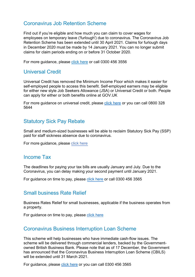# <span id="page-3-0"></span>Coronavirus Job Retention Scheme

Find out if you're eligible and how much you can claim to cover wages for employees on temporary leave ('furlough') due to coronavirus. The Coronavirus Job Retention Scheme has been extended until 30 April 2021. Claims for furlough days in December 2020 must be made by 14 January 2021. You can no longer submit claims for claim periods ending on or before 31 October 2020.

For more guidance, please [click here](https://www.gov.uk/government/news/furlough-scheme-extended-and-further-economic-support-announced) or call 0300 456 3556

# <span id="page-3-1"></span>Universal Credit

Universal Credit has removed the Minimum Income Floor which makes it easier for self-employed people to access this benefit. Self-employed earners may be eligible for either new style Job Seekers Allowance (JSA) or Universal Credit or both. People can apply for either or both benefits online at GOV.UK

<span id="page-3-2"></span>For more guidance on universal credit, please [click here](https://www.gov.uk/universal-credit) or you can call 0800 328 5644

# Statutory Sick Pay Rebate

Small and medium-sized businesses will be able to reclaim Statutory Sick Pay (SSP) paid for staff sickness absence due to coronavirus.

<span id="page-3-3"></span>For more guidance, please click [here](https://www.gov.uk/guidance/claim-back-statutory-sick-pay-paid-to-employees-due-to-coronavirus-covid-19)

#### Income Tax

The deadlines for paying your tax bills are usually January and July. Due to the Coronavirus, you can delay making your second payment until January 2021.

<span id="page-3-4"></span>For guidance on time to pay, please click [here](https://www.gov.uk/guidance/defer-your-self-assessment-payment-on-account-due-to-coronavirus-covid-19) or call 0300 456 3565

#### Small business Rate Relief

Business Rates Relief for small businesses, applicable if the business operates from a property.

For guidance on time to pay, please click [here](http://www.gov.uk/apply-for-business-rate-relief)

#### Coronavirus Business Interruption Loan Scheme

This scheme will help businesses who have immediate cash-flow issues. The scheme will be delivered through commercial lenders, backed by the Governmentowned British Business Bank. Please note that as of 17 December, the Government has announced that the Coronavirus Business Interruption Loan Scheme (CBILS) will be extended until 31 March 2021.

For guidance, please click [here](https://www.british-business-bank.co.uk/ourpartners/coronavirus-business-interruption-loan-scheme-cbils/) or you can call 0300 456 3565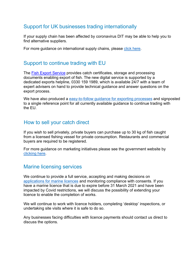# <span id="page-4-0"></span>Support for UK businesses trading internationally

If your supply chain has been affected by coronavirus DIT may be able to help you to find alternative suppliers.

For more guidance on international supply chains, please click [here.](https://www.gov.uk/government/publications/coronavirus-covid-19-guidance-for-uk-businesses/coronavirus-covid-19-guidance-for-uk-businesses-trading-internationally)

# <span id="page-4-1"></span>Support to continue trading with EU

The [Fish Export Service](https://www.gov.uk/guidance/create-a-uk-catch-certificate) provides catch certificates, storage and processing documents enabling export of fish. The new digital service is supported by a dedicated exports helpline, 0330 159 1989, which is available 24/7 with a team of expert advisers on hand to provide technical guidance and answer questions on the export process.

We have also produced a [easy-to-follow guidance for exporting processes](https://www.gov.uk/government/publications/how-to-export-wild-caught-marine-fishery-products-to-the-eu-from-01-january-2021) and signposted to a single reference point for all currently available guidance to continue trading with the EU.

### <span id="page-4-2"></span>How to sell your catch direct

If you wish to sell privately, private buyers can purchase up to 30 kg of fish caught from a licensed fishing vessel for private consumption. Restaurants and commercial buyers are required to be registered.

For more guidance on marketing initiatives please see the government website by [clicking](https://www.gov.uk/government/publications/buyers-and-sellers-of-first-sale-fish-and-submission-of-sales-notes/buyers-and-sellers-of-first-sale-fish) here.

# <span id="page-4-3"></span>Marine licensing services

We continue to provide a full service, accepting and making decisions on [applications for marine licences](https://www.gov.uk/topic/planning-development/marine-licences) and monitoring compliance with consents. If you have a marine licence that is due to expire before 31 March 2021 and have been impacted by Covid restrictions, we will discuss the possibility of extending your licence to enable the completion of works.

We will continue to work with licence holders, completing 'desktop' inspections, or undertaking site visits where it is safe to do so.

Any businesses facing difficulties with licence payments should contact us direct to discuss the options.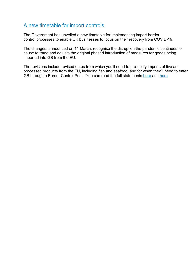# A new timetable for import controls

The Government has unveiled a new timetable for implementing import border control processes to enable UK businesses to focus on their recovery from COVID-19.

The changes, announced on 11 March, recognise the disruption the pandemic continues to cause to trade and adjusts the original phased introduction of measures for goods being imported into GB from the EU.

The revisions include revised dates from which you'll need to pre-notify imports of live and processed products from the EU, including fish and seafood, and for when they'll need to enter GB through a Border Control Post. You can read the full statements [here](https://questions-statements.parliament.uk/written-statements/detail/2021-03-11/hlws833) and here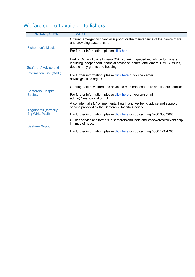# <span id="page-6-0"></span>Welfare support available to fishers

| <b>ORGANISATION</b>                                     | <b>WHAT</b>                                                                                                                                                                                       |
|---------------------------------------------------------|---------------------------------------------------------------------------------------------------------------------------------------------------------------------------------------------------|
| <b>Fishermen's Mission</b>                              | Offering emergency financial support for the maintenance of the basics of life,<br>and providing pastoral care                                                                                    |
|                                                         | For further information, please click here.                                                                                                                                                       |
| Seafarers' Advice and<br><b>Information Line (SAIL)</b> | Part of Citizen Advice Bureau (CAB) offering specialised advice for fishers,<br>including independent, financial advice on benefit entitlement, HMRC issues,<br>debt, charity grants and housing. |
|                                                         | For further information, please click here or you can email<br>advice@sailine.org.uk                                                                                                              |
| Seafarers' Hospital<br><b>Society</b>                   | Offering health, welfare and advice to merchant seafarers and fishers' families.                                                                                                                  |
|                                                         | For further information, please click here or you can email<br>admin@seahospital.org.uk                                                                                                           |
| <b>Togetherall (formerly</b><br><b>Big White Wall)</b>  | A confidential 24/7 online mental health and wellbeing advice and support<br>service provided by the Seafarers Hospital Society                                                                   |
|                                                         | For further information, please click here or you can ring 0208 856 3696                                                                                                                          |
| <b>Seafarer Support</b>                                 | Guides serving and former UK seafarers and their families towards relevant help<br>in times of need.                                                                                              |
|                                                         | For further information, please click here or you can ring 0800 121 4765                                                                                                                          |